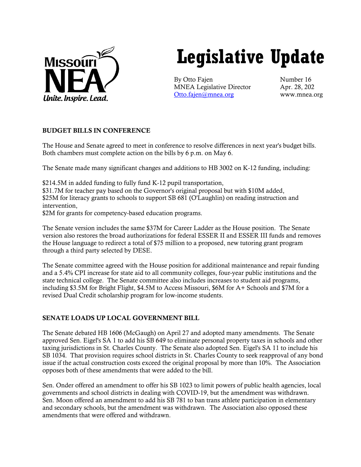

# **Legislative Update**

By Otto Fajen Number 16 MNEA Legislative Director Apr. 28, 202 [Otto.fajen@mnea.org](mailto:Otto.fajen@mnea.org) www.mnea.org

# BUDGET BILLS IN CONFERENCE

The House and Senate agreed to meet in conference to resolve differences in next year's budget bills. Both chambers must complete action on the bills by 6 p.m. on May 6.

The Senate made many significant changes and additions to HB 3002 on K-12 funding, including:

\$214.5M in added funding to fully fund K-12 pupil transportation,

\$31.7M for teacher pay based on the Governor's original proposal but with \$10M added, \$25M for literacy grants to schools to support SB 681 (O'Laughlin) on reading instruction and intervention,

\$2M for grants for competency-based education programs.

The Senate version includes the same \$37M for Career Ladder as the House position. The Senate version also restores the broad authorizations for federal ESSER II and ESSER III funds and removes the House language to redirect a total of \$75 million to a proposed, new tutoring grant program through a third party selected by DESE.

The Senate committee agreed with the House position for additional maintenance and repair funding and a 5.4% CPI increase for state aid to all community colleges, four-year public institutions and the state technical college. The Senate committee also includes increases to student aid programs, including \$3.5M for Bright Flight, \$4.5M to Access Missouri, \$6M for A+ Schools and \$7M for a revised Dual Credit scholarship program for low-income students.

# SENATE LOADS UP LOCAL GOVERNMENT BILL

The Senate debated HB 1606 (McGaugh) on April 27 and adopted many amendments. The Senate approved Sen. Eigel's SA 1 to add his SB 649 to eliminate personal property taxes in schools and other taxing jurisdictions in St. Charles County. The Senate also adopted Sen. Eigel's SA 11 to include his SB 1034. That provision requires school districts in St. Charles County to seek reapproval of any bond issue if the actual construction costs exceed the original proposal by more than 10%. The Association opposes both of these amendments that were added to the bill.

Sen. Onder offered an amendment to offer his SB 1023 to limit powers of public health agencies, local governments and school districts in dealing with COVID-19, but the amendment was withdrawn. Sen. Moon offered an amendment to add his SB 781 to ban trans athlete participation in elementary and secondary schools, but the amendment was withdrawn. The Association also opposed these amendments that were offered and withdrawn.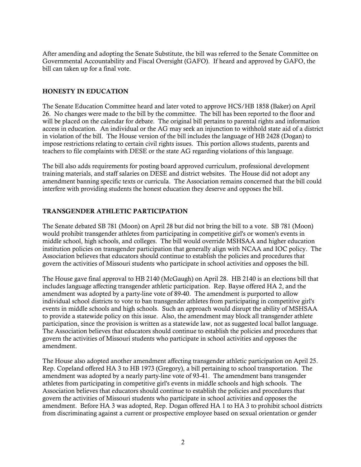After amending and adopting the Senate Substitute, the bill was referred to the Senate Committee on Governmental Accountability and Fiscal Oversight (GAFO). If heard and approved by GAFO, the bill can taken up for a final vote.

#### HONESTY IN EDUCATION

The Senate Education Committee heard and later voted to approve HCS/HB 1858 (Baker) on April 26. No changes were made to the bill by the committee. The bill has been reported to the floor and will be placed on the calendar for debate. The original bill pertains to parental rights and information access in education. An individual or the AG may seek an injunction to withhold state aid of a district in violation of the bill. The House version of the bill includes the language of HB 2428 (Dogan) to impose restrictions relating to certain civil rights issues. This portion allows students, parents and teachers to file complaints with DESE or the state AG regarding violations of this language.

The bill also adds requirements for posting board approved curriculum, professional development training materials, and staff salaries on DESE and district websites. The House did not adopt any amendment banning specific texts or curricula. The Association remains concerned that the bill could interfere with providing students the honest education they deserve and opposes the bill.

#### TRANSGENDER ATHLETIC PARTICIPATION

The Senate debated SB 781 (Moon) on April 28 but did not bring the bill to a vote. SB 781 (Moon) would prohibit transgender athletes from participating in competitive girl's or women's events in middle school, high schools, and colleges. The bill would override MSHSAA and higher education institution policies on transgender participation that generally align with NCAA and IOC policy. The Association believes that educators should continue to establish the policies and procedures that govern the activities of Missouri students who participate in school activities and opposes the bill.

The House gave final approval to HB 2140 (McGaugh) on April 28. HB 2140 is an elections bill that includes language affecting transgender athletic participation. Rep. Bayse offered HA 2, and the amendment was adopted by a party-line vote of 89-40. The amendment is purported to allow individual school districts to vote to ban transgender athletes from participating in competitive girl's events in middle schools and high schools. Such an approach would disrupt the ability of MSHSAA to provide a statewide policy on this issue. Also, the amendment may block all transgender athlete participation, since the provision is written as a statewide law, not as suggested local ballot language. The Association believes that educators should continue to establish the policies and procedures that govern the activities of Missouri students who participate in school activities and opposes the amendment.

The House also adopted another amendment affecting transgender athletic participation on April 25. Rep. Copeland offered HA 3 to HB 1973 (Gregory), a bill pertaining to school transportation. The amendment was adopted by a nearly party-line vote of 93-41. The amendment bans transgender athletes from participating in competitive girl's events in middle schools and high schools. The Association believes that educators should continue to establish the policies and procedures that govern the activities of Missouri students who participate in school activities and opposes the amendment. Before HA 3 was adopted, Rep. Dogan offered HA 1 to HA 3 to prohibit school districts from discriminating against a current or prospective employee based on sexual orientation or gender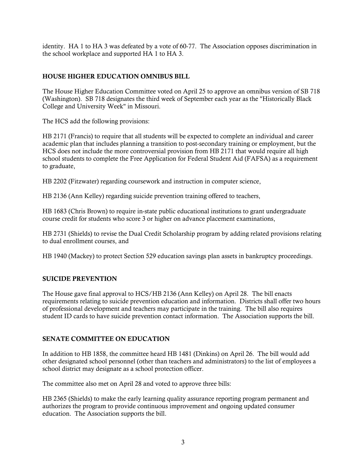identity. HA 1 to HA 3 was defeated by a vote of 60-77. The Association opposes discrimination in the school workplace and supported HA 1 to HA 3.

# HOUSE HIGHER EDUCATION OMNIBUS BILL

The House Higher Education Committee voted on April 25 to approve an omnibus version of SB 718 (Washington). SB 718 designates the third week of September each year as the "Historically Black College and University Week" in Missouri.

The HCS add the following provisions:

HB 2171 (Francis) to require that all students will be expected to complete an individual and career academic plan that includes planning a transition to post-secondary training or employment, but the HCS does not include the more controversial provision from HB 2171 that would require all high school students to complete the Free Application for Federal Student Aid (FAFSA) as a requirement to graduate,

HB 2202 (Fitzwater) regarding coursework and instruction in computer science,

HB 2136 (Ann Kelley) regarding suicide prevention training offered to teachers,

HB 1683 (Chris Brown) to require in-state public educational institutions to grant undergraduate course credit for students who score 3 or higher on advance placement examinations,

HB 2731 (Shields) to revise the Dual Credit Scholarship program by adding related provisions relating to dual enrollment courses, and

HB 1940 (Mackey) to protect Section 529 education savings plan assets in bankruptcy proceedings.

# SUICIDE PREVENTION

The House gave final approval to HCS/HB 2136 (Ann Kelley) on April 28. The bill enacts requirements relating to suicide prevention education and information. Districts shall offer two hours of professional development and teachers may participate in the training. The bill also requires student ID cards to have suicide prevention contact information. The Association supports the bill.

# SENATE COMMITTEE ON EDUCATION

In addition to HB 1858, the committee heard HB 1481 (Dinkins) on April 26. The bill would add other designated school personnel (other than teachers and administrators) to the list of employees a school district may designate as a school protection officer.

The committee also met on April 28 and voted to approve three bills:

HB 2365 (Shields) to make the early learning quality assurance reporting program permanent and authorizes the program to provide continuous improvement and ongoing updated consumer education. The Association supports the bill.